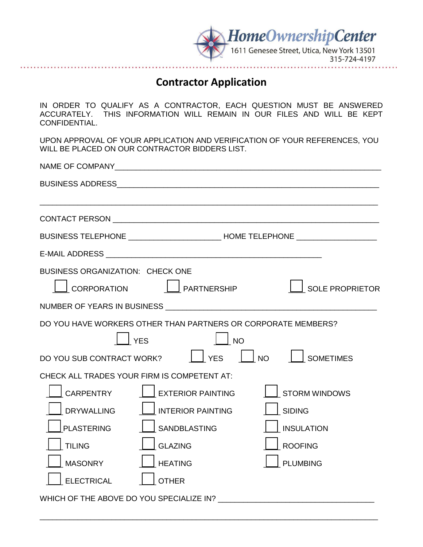

## **Contractor Application**

IN ORDER TO QUALIFY AS A CONTRACTOR, EACH QUESTION MUST BE ANSWERED ACCURATELY. THIS INFORMATION WILL REMAIN IN OUR FILES AND WILL BE KEPT CONFIDENTIAL.

UPON APPROVAL OF YOUR APPLICATION AND VERIFICATION OF YOUR REFERENCES, YOU WILL BE PLACED ON OUR CONTRACTOR BIDDERS LIST.

|                                          |                                                               | BUSINESS TELEPHONE _______________________________HOME TELEPHONE _______________ |
|------------------------------------------|---------------------------------------------------------------|----------------------------------------------------------------------------------|
|                                          |                                                               |                                                                                  |
| <b>BUSINESS ORGANIZATION: CHECK ONE</b>  |                                                               |                                                                                  |
|                                          | $\lfloor$ CORPORATION $\lfloor \ \rfloor$ PARTNERSHIP         | SOLE PROPRIETOR                                                                  |
|                                          |                                                               |                                                                                  |
|                                          | DO YOU HAVE WORKERS OTHER THAN PARTNERS OR CORPORATE MEMBERS? |                                                                                  |
|                                          | $\Box$ YES<br>$\Box$ NO                                       |                                                                                  |
|                                          |                                                               | DO YOU SUB CONTRACT WORK? $\Box$ YES $\Box$ NO $\Box$ SOMETIMES                  |
|                                          | CHECK ALL TRADES YOUR FIRM IS COMPETENT AT:                   |                                                                                  |
| CARPENTRY                                | EXTERIOR PAINTING                                             | STORM WINDOWS                                                                    |
| <b>DRYWALLING</b>                        | $\Box$ INTERIOR PAINTING                                      | SIDING                                                                           |
| <b>PLASTERING</b>                        | I SANDBLASTING                                                | <b>INSULATION</b>                                                                |
| <b>TILING</b>                            | GLAZING                                                       | <b>ROOFING</b>                                                                   |
| <b>MASONRY</b>                           | $\vert$ $\vert$ HEATING                                       | <b>PLUMBING</b>                                                                  |
| <b>ELECTRICAL</b>                        | <b>OTHER</b>                                                  |                                                                                  |
| WHICH OF THE ABOVE DO YOU SPECIALIZE IN? |                                                               |                                                                                  |

\_\_\_\_\_\_\_\_\_\_\_\_\_\_\_\_\_\_\_\_\_\_\_\_\_\_\_\_\_\_\_\_\_\_\_\_\_\_\_\_\_\_\_\_\_\_\_\_\_\_\_\_\_\_\_\_\_\_\_\_\_\_\_\_\_\_\_\_\_\_\_\_\_\_\_\_\_\_\_\_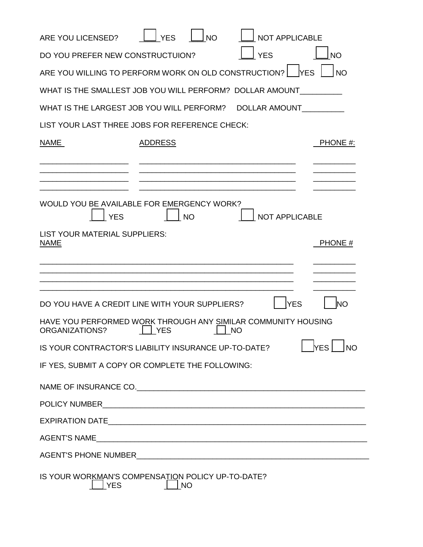| ARE YOU LICENSED?                                                                      | <b>NO</b><br><b>YES</b> | <b>NOT APPLICABLE</b> |                         |
|----------------------------------------------------------------------------------------|-------------------------|-----------------------|-------------------------|
| DO YOU PREFER NEW CONSTRUCTUION?                                                       |                         | <b>YES</b>            | <b>NO</b>               |
| ARE YOU WILLING TO PERFORM WORK ON OLD CONSTRUCTION?                                   |                         | <b>IYES</b>           | <b>NO</b>               |
| WHAT IS THE SMALLEST JOB YOU WILL PERFORM? DOLLAR AMOUNT                               |                         |                       |                         |
| WHAT IS THE LARGEST JOB YOU WILL PERFORM?                                              |                         | <b>DOLLAR AMOUNT</b>  |                         |
| LIST YOUR LAST THREE JOBS FOR REFERENCE CHECK:                                         |                         |                       |                         |
| NAME                                                                                   | <b>ADDRESS</b>          |                       | PHONE #:                |
|                                                                                        |                         |                       |                         |
| WOULD YOU BE AVAILABLE FOR EMERGENCY WORK?<br><b>YES</b>                               | <b>NO</b>               | <b>NOT APPLICABLE</b> |                         |
| LIST YOUR MATERIAL SUPPLIERS:<br><b>NAME</b>                                           |                         |                       | PHONE #                 |
|                                                                                        |                         |                       |                         |
| DO YOU HAVE A CREDIT LINE WITH YOUR SUPPLIERS?                                         |                         | <b>YES</b>            | <b>INO</b>              |
| HAVE YOU PERFORMED WORK THROUGH ANY SIMILAR COMMUNITY HOUSING<br><b>ORGANIZATIONS?</b> | <b>YES</b>              | <b>NO</b>             |                         |
| IS YOUR CONTRACTOR'S LIABILITY INSURANCE UP-TO-DATE?                                   |                         |                       | <b>YES</b><br><b>NO</b> |
| IF YES, SUBMIT A COPY OR COMPLETE THE FOLLOWING:                                       |                         |                       |                         |
|                                                                                        |                         |                       |                         |
|                                                                                        |                         |                       |                         |
|                                                                                        |                         |                       |                         |
|                                                                                        |                         |                       |                         |
|                                                                                        |                         |                       |                         |
| IS YOUR WORKMAN'S COMPENSATION POLICY UP-TO-DATE?<br><b>YES</b>                        | <b>NO</b>               |                       |                         |